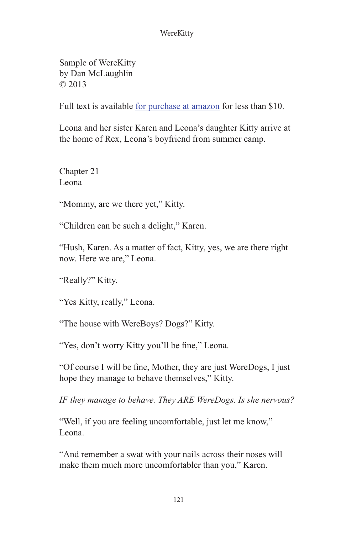Sample of WereKitty by Dan McLaughlin © 2013

Full text is available [for purchase at amazon](http://www.amazon.com/WereKitty-Dan-McLaughlin/dp/1482636670/ref%3Dsr_1_1%3Fs%3Dbooks%26ie%3DUTF8%26qid%3D1366014577%26sr%3D1-1%26keywords%3Dwerekitty%2Bdan%2Bmclaughlin) for less than \$10.

Leona and her sister Karen and Leona's daughter Kitty arrive at the home of Rex, Leona's boyfriend from summer camp.

Chapter 21 Leona

"Mommy, are we there yet," Kitty.

"Children can be such a delight," Karen.

"Hush, Karen. As a matter of fact, Kitty, yes, we are there right now. Here we are," Leona.

"Really?" Kitty.

"Yes Kitty, really," Leona.

"The house with WereBoys? Dogs?" Kitty.

"Yes, don't worry Kitty you'll be fine," Leona.

"Of course I will be fine, Mother, they are just WereDogs, I just hope they manage to behave themselves," Kitty.

*IF they manage to behave. They ARE WereDogs. Is she nervous?*

"Well, if you are feeling uncomfortable, just let me know," Leona.

"And remember a swat with your nails across their noses will make them much more uncomfortabler than you," Karen.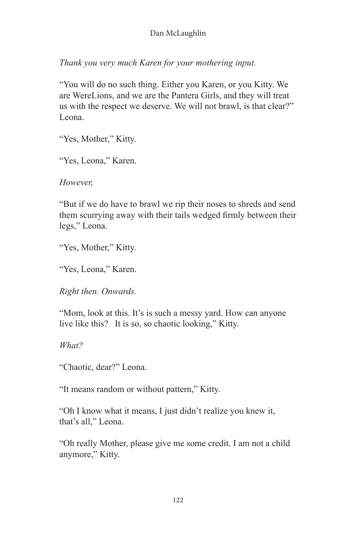*Thank you very much Karen for your mothering input.*

"You will do no such thing. Either you Karen, or you Kitty. We are WereLions, and we are the Pantera Girls, and they will treat us with the respect we deserve. We will not brawl, is that clear?" Leona.

"Yes, Mother," Kitty.

"Yes, Leona," Karen.

*However,*

"But if we do have to brawl we rip their noses to shreds and send them scurrying away with their tails wedged firmly between their legs," Leona.

"Yes, Mother," Kitty.

"Yes, Leona," Karen.

*Right then. Onwards.*

"Mom, look at this. It's is such a messy yard. How can anyone live like this? It is so, so chaotic looking," Kitty.

*What?*

"Chaotic, dear?" Leona.

"It means random or without pattern," Kitty.

"Oh I know what it means, I just didn't realize you knew it, that's all," Leona.

"Oh really Mother, please give me some credit. I am not a child anymore," Kitty.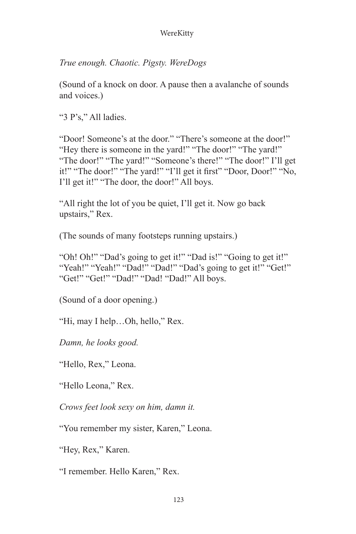*True enough. Chaotic. Pigsty. WereDogs*

(Sound of a knock on door. A pause then a avalanche of sounds and voices.)

"3 P's," All ladies.

"Door! Someone's at the door." "There's someone at the door!" "Hey there is someone in the yard!" "The door!" "The yard!" "The door!" "The yard!" "Someone's there!" "The door!" I'll get it!" "The door!" "The yard!" "I'll get it first" "Door, Door!" "No, I'll get it!" "The door, the door!" All boys.

"All right the lot of you be quiet, I'll get it. Now go back upstairs," Rex.

(The sounds of many footsteps running upstairs.)

"Oh! Oh!" "Dad's going to get it!" "Dad is!" "Going to get it!" "Yeah!" "Yeah!" "Dad!" "Dad!" "Dad's going to get it!" "Get!" "Get!" "Get!" "Dad!" "Dad! "Dad!" All boys.

(Sound of a door opening.)

"Hi, may I help…Oh, hello," Rex.

*Damn, he looks good.*

"Hello, Rex," Leona.

"Hello Leona," Rex.

*Crows feet look sexy on him, damn it.*

"You remember my sister, Karen," Leona.

"Hey, Rex," Karen.

"I remember. Hello Karen," Rex.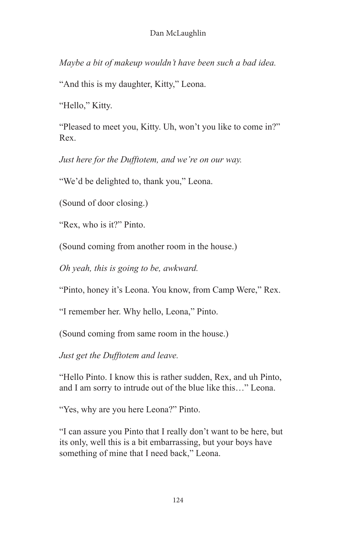*Maybe a bit of makeup wouldn't have been such a bad idea.*

"And this is my daughter, Kitty," Leona.

"Hello," Kitty.

"Pleased to meet you, Kitty. Uh, won't you like to come in?" Rex.

*Just here for the Dufftotem, and we're on our way.*

"We'd be delighted to, thank you," Leona.

(Sound of door closing.)

"Rex, who is it?" Pinto.

(Sound coming from another room in the house.)

*Oh yeah, this is going to be, awkward.*

"Pinto, honey it's Leona. You know, from Camp Were," Rex.

"I remember her. Why hello, Leona," Pinto.

(Sound coming from same room in the house.)

*Just get the Dufftotem and leave.*

"Hello Pinto. I know this is rather sudden, Rex, and uh Pinto, and I am sorry to intrude out of the blue like this…" Leona.

"Yes, why are you here Leona?" Pinto.

"I can assure you Pinto that I really don't want to be here, but its only, well this is a bit embarrassing, but your boys have something of mine that I need back," Leona.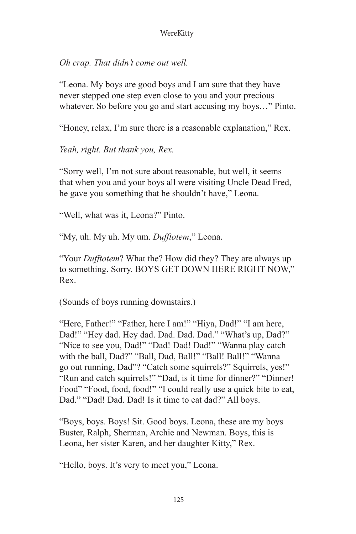*Oh crap. That didn't come out well.*

"Leona. My boys are good boys and I am sure that they have never stepped one step even close to you and your precious whatever. So before you go and start accusing my boys…" Pinto.

"Honey, relax, I'm sure there is a reasonable explanation," Rex.

*Yeah, right. But thank you, Rex.*

"Sorry well, I'm not sure about reasonable, but well, it seems that when you and your boys all were visiting Uncle Dead Fred, he gave you something that he shouldn't have," Leona.

"Well, what was it, Leona?" Pinto.

"My, uh. My uh. My um. *Dufftotem*," Leona.

"Your *Dufftotem*? What the? How did they? They are always up to something. Sorry. BOYS GET DOWN HERE RIGHT NOW," Rex.

(Sounds of boys running downstairs.)

"Here, Father!" "Father, here I am!" "Hiya, Dad!" "I am here, Dad!" "Hey dad. Hey dad. Dad. Dad. Dad." "What's up, Dad?" "Nice to see you, Dad!" "Dad! Dad! Dad!" "Wanna play catch with the ball, Dad?" "Ball, Dad, Ball!" "Ball! Ball!" "Wanna go out running, Dad"? "Catch some squirrels?" Squirrels, yes!" "Run and catch squirrels!" "Dad, is it time for dinner?" "Dinner! Food" "Food, food, food!" "I could really use a quick bite to eat, Dad." "Dad! Dad. Dad! Is it time to eat dad?" All boys.

"Boys, boys. Boys! Sit. Good boys. Leona, these are my boys Buster, Ralph, Sherman, Archie and Newman. Boys, this is Leona, her sister Karen, and her daughter Kitty," Rex.

"Hello, boys. It's very to meet you," Leona.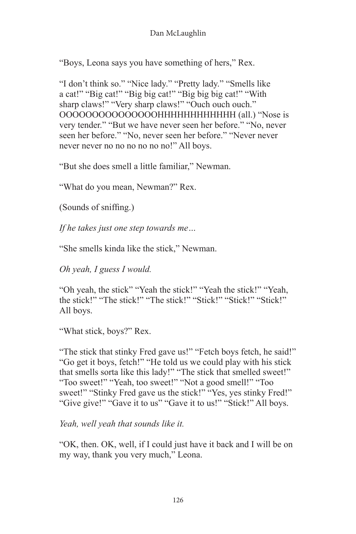"Boys, Leona says you have something of hers," Rex.

"I don't think so." "Nice lady." "Pretty lady." "Smells like a cat!" "Big cat!" "Big big cat!" "Big big big cat!" "With sharp claws!" "Very sharp claws!" "Ouch ouch ouch." OOOOOOOOOOOOOOOHHHHHHHHHHHH (all.) "Nose is very tender." "But we have never seen her before." "No, never seen her before." "No, never seen her before." "Never never never never no no no no no no!" All boys.

"But she does smell a little familiar," Newman.

"What do you mean, Newman?" Rex.

(Sounds of sniffing.)

*If he takes just one step towards me…*

"She smells kinda like the stick," Newman.

*Oh yeah, I guess I would.*

"Oh yeah, the stick" "Yeah the stick!" "Yeah the stick!" "Yeah, the stick!" "The stick!" "The stick!" "Stick!" "Stick!" "Stick!" All boys.

"What stick, boys?" Rex.

"The stick that stinky Fred gave us!" "Fetch boys fetch, he said!" "Go get it boys, fetch!" "He told us we could play with his stick that smells sorta like this lady!" "The stick that smelled sweet!" "Too sweet!" "Yeah, too sweet!" "Not a good smell!" "Too sweet!" "Stinky Fred gave us the stick!" "Yes, yes stinky Fred!" "Give give!" "Gave it to us" "Gave it to us!" "Stick!" All boys.

*Yeah, well yeah that sounds like it.*

"OK, then. OK, well, if I could just have it back and I will be on my way, thank you very much," Leona.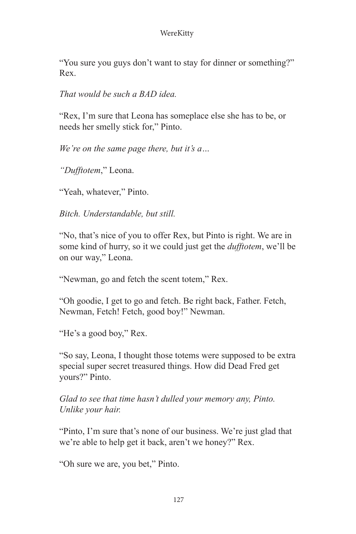"You sure you guys don't want to stay for dinner or something?" Rex.

*That would be such a BAD idea.*

"Rex, I'm sure that Leona has someplace else she has to be, or needs her smelly stick for," Pinto.

*We're on the same page there, but it's a…* 

*"Dufftotem*," Leona.

"Yeah, whatever," Pinto.

*Bitch. Understandable, but still.*

"No, that's nice of you to offer Rex, but Pinto is right. We are in some kind of hurry, so it we could just get the *dufftotem*, we'll be on our way," Leona.

"Newman, go and fetch the scent totem," Rex.

"Oh goodie, I get to go and fetch. Be right back, Father. Fetch, Newman, Fetch! Fetch, good boy!" Newman.

"He's a good boy," Rex.

"So say, Leona, I thought those totems were supposed to be extra special super secret treasured things. How did Dead Fred get yours?" Pinto.

*Glad to see that time hasn't dulled your memory any, Pinto. Unlike your hair.*

"Pinto, I'm sure that's none of our business. We're just glad that we're able to help get it back, aren't we honey?" Rex.

"Oh sure we are, you bet," Pinto.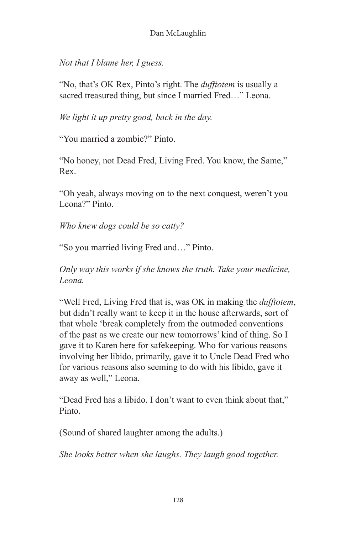*Not that I blame her, I guess.*

"No, that's OK Rex, Pinto's right. The *dufftotem* is usually a sacred treasured thing, but since I married Fred…" Leona.

*We light it up pretty good, back in the day.*

"You married a zombie?" Pinto.

"No honey, not Dead Fred, Living Fred. You know, the Same," Rex.

"Oh yeah, always moving on to the next conquest, weren't you Leona?" Pinto.

*Who knew dogs could be so catty?*

"So you married living Fred and…" Pinto.

*Only way this works if she knows the truth. Take your medicine, Leona.*

"Well Fred, Living Fred that is, was OK in making the *dufftotem*, but didn't really want to keep it in the house afterwards, sort of that whole 'break completely from the outmoded conventions of the past as we create our new tomorrows' kind of thing. So I gave it to Karen here for safekeeping. Who for various reasons involving her libido, primarily, gave it to Uncle Dead Fred who for various reasons also seeming to do with his libido, gave it away as well," Leona.

"Dead Fred has a libido. I don't want to even think about that," Pinto.

(Sound of shared laughter among the adults.)

*She looks better when she laughs. They laugh good together.*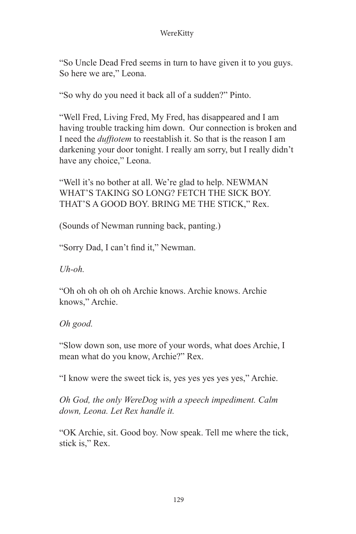"So Uncle Dead Fred seems in turn to have given it to you guys. So here we are," Leona.

"So why do you need it back all of a sudden?" Pinto.

"Well Fred, Living Fred, My Fred, has disappeared and I am having trouble tracking him down. Our connection is broken and I need the *dufftotem* to reestablish it. So that is the reason I am darkening your door tonight. I really am sorry, but I really didn't have any choice," Leona.

"Well it's no bother at all. We're glad to help. NEWMAN WHAT'S TAKING SO LONG? FETCH THE SICK BOY. THAT'S A GOOD BOY. BRING ME THE STICK," Rex.

(Sounds of Newman running back, panting.)

"Sorry Dad, I can't find it," Newman.

*Uh-oh.*

"Oh oh oh oh oh oh Archie knows. Archie knows. Archie knows," Archie.

*Oh good.*

"Slow down son, use more of your words, what does Archie, I mean what do you know, Archie?" Rex.

"I know were the sweet tick is, yes yes yes yes yes," Archie.

*Oh God, the only WereDog with a speech impediment. Calm down, Leona. Let Rex handle it.*

"OK Archie, sit. Good boy. Now speak. Tell me where the tick, stick is," Rex.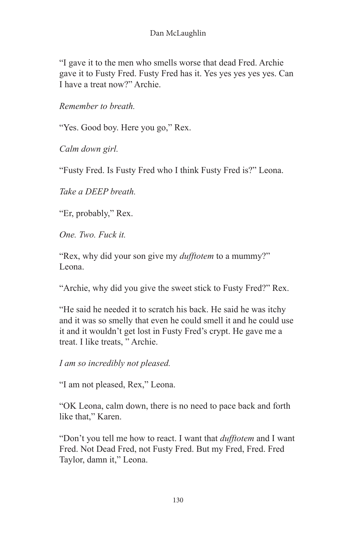"I gave it to the men who smells worse that dead Fred. Archie gave it to Fusty Fred. Fusty Fred has it. Yes yes yes yes yes. Can I have a treat now?" Archie.

*Remember to breath.*

"Yes. Good boy. Here you go," Rex.

*Calm down girl.*

"Fusty Fred. Is Fusty Fred who I think Fusty Fred is?" Leona.

*Take a DEEP breath.*

"Er, probably," Rex.

*One. Two. Fuck it.*

"Rex, why did your son give my *dufftotem* to a mummy?" Leona.

"Archie, why did you give the sweet stick to Fusty Fred?" Rex.

"He said he needed it to scratch his back. He said he was itchy and it was so smelly that even he could smell it and he could use it and it wouldn't get lost in Fusty Fred's crypt. He gave me a treat. I like treats, " Archie.

*I am so incredibly not pleased.*

"I am not pleased, Rex," Leona.

"OK Leona, calm down, there is no need to pace back and forth like that," Karen.

"Don't you tell me how to react. I want that *dufftotem* and I want Fred. Not Dead Fred, not Fusty Fred. But my Fred, Fred. Fred Taylor, damn it," Leona.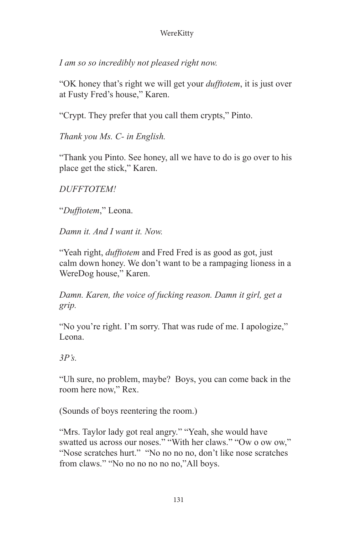*I am so so incredibly not pleased right now.*

"OK honey that's right we will get your *dufftotem*, it is just over at Fusty Fred's house," Karen.

"Crypt. They prefer that you call them crypts," Pinto.

*Thank you Ms. C- in English.*

"Thank you Pinto. See honey, all we have to do is go over to his place get the stick," Karen.

*DUFFTOTEM!*

"*Dufftotem*," Leona.

*Damn it. And I want it. Now.*

"Yeah right, *dufftotem* and Fred Fred is as good as got, just calm down honey. We don't want to be a rampaging lioness in a WereDog house," Karen.

*Damn. Karen, the voice of fucking reason. Damn it girl, get a grip.*

"No you're right. I'm sorry. That was rude of me. I apologize," Leona.

*3P's.*

"Uh sure, no problem, maybe? Boys, you can come back in the room here now," Rex.

(Sounds of boys reentering the room.)

"Mrs. Taylor lady got real angry." "Yeah, she would have swatted us across our noses." "With her claws." "Ow o ow ow," "Nose scratches hurt." "No no no no, don't like nose scratches from claws." "No no no no no no,"All boys.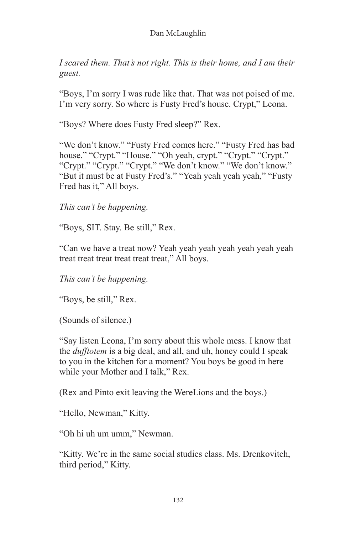*I scared them. That's not right. This is their home, and I am their guest.*

"Boys, I'm sorry I was rude like that. That was not poised of me. I'm very sorry. So where is Fusty Fred's house. Crypt," Leona.

"Boys? Where does Fusty Fred sleep?" Rex.

"We don't know." "Fusty Fred comes here." "Fusty Fred has bad house." "Crypt." "House." "Oh yeah, crypt." "Crypt." "Crypt." "Crypt." "Crypt." "Crypt." "We don't know." "We don't know." "But it must be at Fusty Fred's." "Yeah yeah yeah yeah," "Fusty Fred has it," All boys.

*This can't be happening.*

"Boys, SIT. Stay. Be still," Rex.

"Can we have a treat now? Yeah yeah yeah yeah yeah yeah yeah treat treat treat treat treat treat," All boys.

*This can't be happening.*

"Boys, be still," Rex.

(Sounds of silence.)

"Say listen Leona, I'm sorry about this whole mess. I know that the *dufftotem* is a big deal, and all, and uh, honey could I speak to you in the kitchen for a moment? You boys be good in here while your Mother and I talk," Rex.

(Rex and Pinto exit leaving the WereLions and the boys.)

"Hello, Newman," Kitty.

"Oh hi uh um umm," Newman.

"Kitty. We're in the same social studies class. Ms. Drenkovitch, third period," Kitty.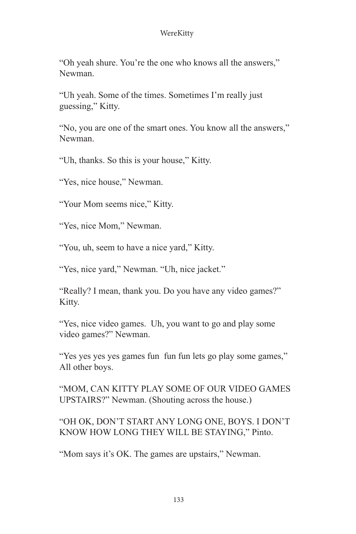"Oh yeah shure. You're the one who knows all the answers," Newman.

"Uh yeah. Some of the times. Sometimes I'm really just guessing," Kitty.

"No, you are one of the smart ones. You know all the answers," Newman.

"Uh, thanks. So this is your house," Kitty.

"Yes, nice house," Newman.

"Your Mom seems nice," Kitty.

"Yes, nice Mom," Newman.

"You, uh, seem to have a nice yard," Kitty.

"Yes, nice yard," Newman. "Uh, nice jacket."

"Really? I mean, thank you. Do you have any video games?" Kitty.

"Yes, nice video games. Uh, you want to go and play some video games?" Newman.

"Yes yes yes yes games fun fun fun lets go play some games," All other boys.

"MOM, CAN KITTY PLAY SOME OF OUR VIDEO GAMES UPSTAIRS?" Newman. (Shouting across the house.)

"OH OK, DON'T START ANY LONG ONE, BOYS. I DON'T KNOW HOW LONG THEY WILL BE STAYING," Pinto.

"Mom says it's OK. The games are upstairs," Newman.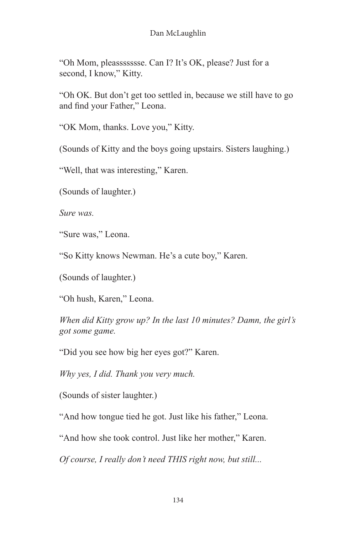"Oh Mom, pleassssssse. Can I? It's OK, please? Just for a second, I know," Kitty.

"Oh OK. But don't get too settled in, because we still have to go and find your Father," Leona.

"OK Mom, thanks. Love you," Kitty.

(Sounds of Kitty and the boys going upstairs. Sisters laughing.)

"Well, that was interesting," Karen.

(Sounds of laughter.)

*Sure was.*

"Sure was," Leona.

"So Kitty knows Newman. He's a cute boy," Karen.

(Sounds of laughter.)

"Oh hush, Karen," Leona.

*When did Kitty grow up? In the last 10 minutes? Damn, the girl's got some game.*

"Did you see how big her eyes got?" Karen.

*Why yes, I did. Thank you very much.*

(Sounds of sister laughter.)

"And how tongue tied he got. Just like his father," Leona.

"And how she took control. Just like her mother," Karen.

*Of course, I really don't need THIS right now, but still...*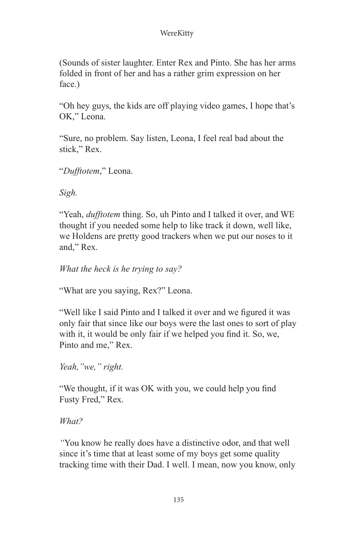(Sounds of sister laughter. Enter Rex and Pinto. She has her arms folded in front of her and has a rather grim expression on her face.)

"Oh hey guys, the kids are off playing video games, I hope that's OK," Leona.

"Sure, no problem. Say listen, Leona, I feel real bad about the stick," Rex.

"*Dufftotem*," Leona.

*Sigh.*

"Yeah, *dufftotem* thing. So, uh Pinto and I talked it over, and WE thought if you needed some help to like track it down, well like, we Holdens are pretty good trackers when we put our noses to it and," Rex.

*What the heck is he trying to say?*

"What are you saying, Rex?" Leona.

"Well like I said Pinto and I talked it over and we figured it was only fair that since like our boys were the last ones to sort of play with it, it would be only fair if we helped you find it. So, we, Pinto and me," Rex.

*Yeah,"we," right.*

"We thought, if it was OK with you, we could help you find Fusty Fred," Rex.

*What?*

*"*You know he really does have a distinctive odor, and that well since it's time that at least some of my boys get some quality tracking time with their Dad. I well. I mean, now you know, only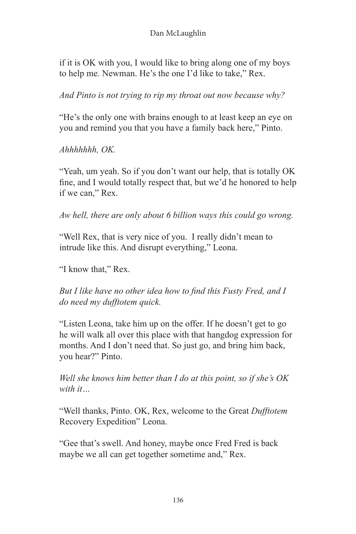if it is OK with you, I would like to bring along one of my boys to help me. Newman. He's the one I'd like to take," Rex.

*And Pinto is not trying to rip my throat out now because why?*

"He's the only one with brains enough to at least keep an eye on you and remind you that you have a family back here," Pinto.

*Ahhhhhhh, OK.*

"Yeah, um yeah. So if you don't want our help, that is totally OK fine, and I would totally respect that, but we'd he honored to help if we can," Rex.

*Aw hell, there are only about 6 billion ways this could go wrong.*

"Well Rex, that is very nice of you. I really didn't mean to intrude like this. And disrupt everything," Leona.

"I know that," Rex.

*But I like have no other idea how to find this Fusty Fred, and I do need my dufftotem quick.*

"Listen Leona, take him up on the offer. If he doesn't get to go he will walk all over this place with that hangdog expression for months. And I don't need that. So just go, and bring him back, you hear?" Pinto.

*Well she knows him better than I do at this point, so if she's OK with it…*

"Well thanks, Pinto. OK, Rex, welcome to the Great *Dufftotem* Recovery Expedition" Leona.

"Gee that's swell. And honey, maybe once Fred Fred is back maybe we all can get together sometime and," Rex.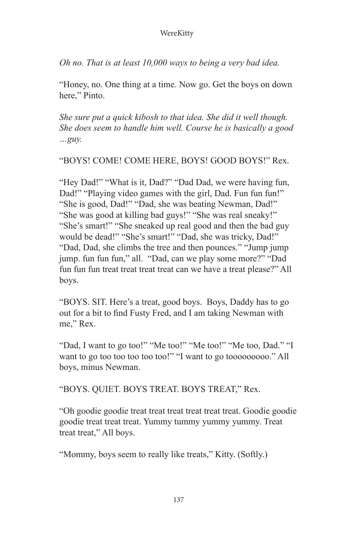*Oh no. That is at least 10,000 ways to being a very bad idea.*

"Honey, no. One thing at a time. Now go. Get the boys on down here." Pinto.

*She sure put a quick kibosh to that idea. She did it well though. She does seem to handle him well. Course he is basically a good …guy.*

"BOYS! COME! COME HERE, BOYS! GOOD BOYS!" Rex.

"Hey Dad!" "What is it, Dad?" "Dad Dad, we were having fun, Dad!" "Playing video games with the girl, Dad. Fun fun fun!" "She is good, Dad!" "Dad, she was beating Newman, Dad!" "She was good at killing bad guys!" "She was real sneaky!" "She's smart!" "She sneaked up real good and then the bad guy would be dead!" "She's smart!" "Dad, she was tricky, Dad!" "Dad, Dad, she climbs the tree and then pounces." "Jump jump jump. fun fun fun," all. "Dad, can we play some more?" "Dad fun fun fun treat treat treat treat can we have a treat please?" All boys.

"BOYS. SIT. Here's a treat, good boys. Boys, Daddy has to go out for a bit to find Fusty Fred, and I am taking Newman with me," Rex.

"Dad, I want to go too!" "Me too!" "Me too!" "Me too, Dad." "I want to go too too too too too!" "I want to go toooooooooo." All boys, minus Newman.

"BOYS. QUIET. BOYS TREAT. BOYS TREAT," Rex.

"Oh goodie goodie treat treat treat treat treat treat. Goodie goodie goodie treat treat treat. Yummy tummy yummy yummy. Treat treat treat," All boys.

"Mommy, boys seem to really like treats," Kitty. (Softly.)